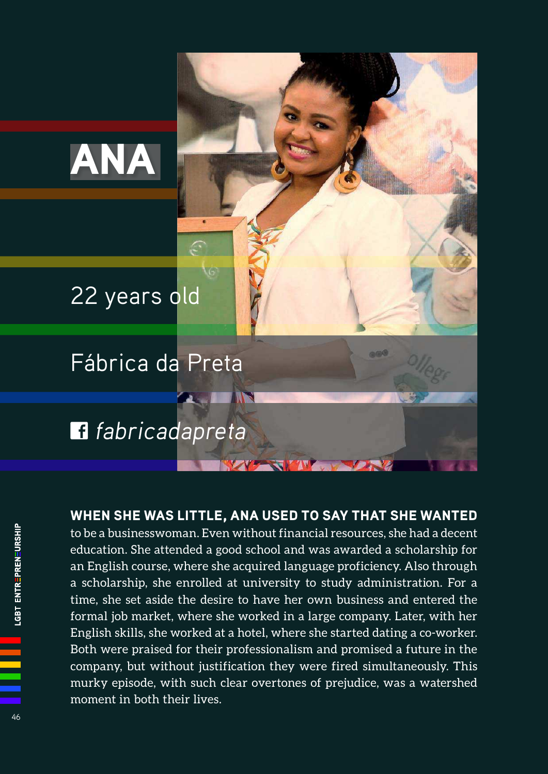# ANA

## 22 years old

## Fábrica da Preta

## fabricadapreta

#### WHEN SHE WAS LITTLE, ANA USED TO SAY THAT SHE WANTED

**AND STRUCK** 

to be a businesswoman. Even without financial resources, she had a decent education. She attended a good school and was awarded a scholarship for an English course, where she acquired language proficiency. Also through a scholarship, she enrolled at university to study administration. For a time, she set aside the desire to have her own business and entered the formal job market, where she worked in a large company. Later, with her English skills, she worked at a hotel, where she started dating a co-worker. Both were praised for their professionalism and promised a future in the company, but without justification they were fired simultaneously. This murky episode, with such clear overtones of prejudice, was a watershed moment in both their lives.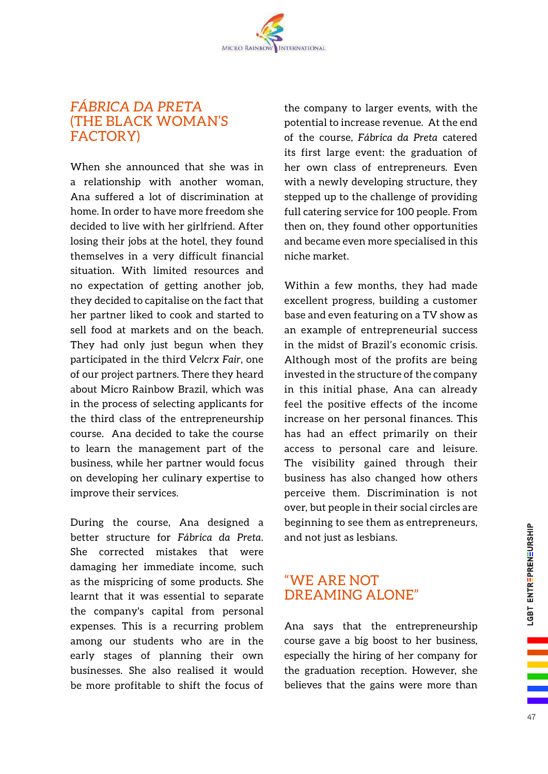### *FÁBRICA DA PRETA* (THE BLACK WOMAN'S FACTORY)

When she announced that she was in a relationship with another woman, Ana suffered a lot of discrimination at home. In order to have more freedom she decided to live with her girlfriend. After losing their jobs at the hotel, they found themselves in a very difficult financial situation. With limited resources and no expectation of getting another job, they decided to capitalise on the fact that her partner liked to cook and started to sell food at markets and on the beach. They had only just begun when they participated in the third *Velcrx Fair*, one of our project partners. There they heard about Micro Rainbow Brazil, which was in the process of selecting applicants for the third class of the entrepreneurship course. Ana decided to take the course to learn the management part of the business, while her partner would focus on developing her culinary expertise to improve their services.

During the course, Ana designed a better structure for *Fábrica da Preta*. She corrected mistakes that were damaging her immediate income, such as the mispricing of some products. She learnt that it was essential to separate the company's capital from personal expenses. This is a recurring problem among our students who are in the early stages of planning their own businesses. She also realised it would be more profitable to shift the focus of

the company to larger events, with the potential to increase revenue. At the end of the course, *Fábrica da Preta* catered its first large event: the graduation of her own class of entrepreneurs. Even with a newly developing structure, they stepped up to the challenge of providing full catering service for 100 people. From then on, they found other opportunities and became even more specialised in this niche market.

Within a few months, they had made excellent progress, building a customer base and even featuring on a TV show as an example of entrepreneurial success in the midst of Brazil's economic crisis. Although most of the profits are being invested in the structure of the company in this initial phase, Ana can already feel the positive effects of the income increase on her personal finances. This has had an effect primarily on their access to personal care and leisure. The visibility gained through their business has also changed how others perceive them. Discrimination is not over, but people in their social circles are beginning to see them as entrepreneurs, and not just as lesbians.

#### "WE ARE NOT DREAMING ALONE"

Ana says that the entrepreneurship course gave a big boost to her business, especially the hiring of her company for the graduation reception. However, she believes that the gains were more than